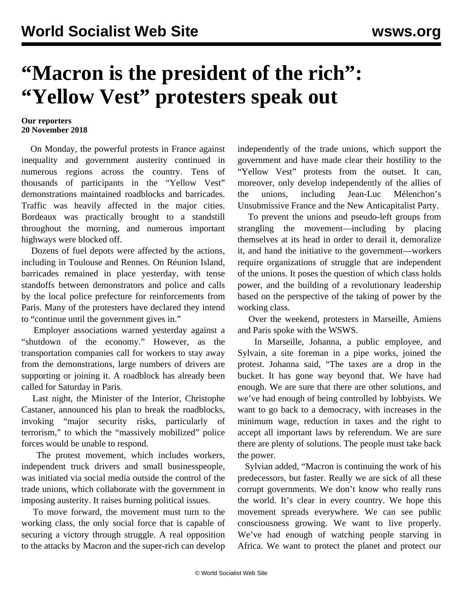## **"Macron is the president of the rich": "Yellow Vest" protesters speak out**

## **Our reporters 20 November 2018**

 On Monday, the powerful protests in France against inequality and government austerity continued in numerous regions across the country. Tens of thousands of participants in the "Yellow Vest" demonstrations maintained roadblocks and barricades. Traffic was heavily affected in the major cities. Bordeaux was practically brought to a standstill throughout the morning, and numerous important highways were blocked off.

 Dozens of fuel depots were affected by the actions, including in Toulouse and Rennes. On Réunion Island, barricades remained in place yesterday, with tense standoffs between demonstrators and police and calls by the local police prefecture for reinforcements from Paris. Many of the protesters have declared they intend to "continue until the government gives in."

 Employer associations warned yesterday against a "shutdown of the economy." However, as the transportation companies call for workers to stay away from the demonstrations, large numbers of drivers are supporting or joining it. A roadblock has already been called for Saturday in Paris.

 Last night, the Minister of the Interior, Christophe Castaner, announced his plan to break the roadblocks, invoking "major security risks, particularly of terrorism," to which the "massively mobilized" police forces would be unable to respond.

 The protest movement, which includes workers, independent truck drivers and small businesspeople, was initiated via social media outside the control of the trade unions, which collaborate with the government in imposing austerity. It raises burning political issues.

 To move forward, the movement must turn to the working class, the only social force that is capable of securing a victory through struggle. A real opposition to the attacks by Macron and the super-rich can develop independently of the trade unions, which support the government and have made clear their hostility to the "Yellow Vest" protests from the outset. It can, moreover, only develop independently of the allies of the unions, including Jean-Luc Mélenchon's Unsubmissive France and the New Anticapitalist Party.

 To prevent the unions and pseudo-left groups from strangling the movement—including by placing themselves at its head in order to derail it, demoralize it, and hand the initiative to the government—workers require organizations of struggle that are independent of the unions. It poses the question of which class holds power, and the building of a revolutionary leadership based on the perspective of the taking of power by the working class.

 Over the weekend, protesters in Marseille, Amiens and Paris spoke with the WSWS.

 In Marseille, Johanna, a public employee, and Sylvain, a site foreman in a pipe works, joined the protest. Johanna said, "The taxes are a drop in the bucket. It has gone way beyond that. We have had enough. We are sure that there are other solutions, and we've had enough of being controlled by lobbyists. We want to go back to a democracy, with increases in the minimum wage, reduction in taxes and the right to accept all important laws by referendum. We are sure there are plenty of solutions. The people must take back the power.

 Sylvian added, "Macron is continuing the work of his predecessors, but faster. Really we are sick of all these corrupt governments. We don't know who really runs the world. It's clear in every country. We hope this movement spreads everywhere. We can see public consciousness growing. We want to live properly. We've had enough of watching people starving in Africa. We want to protect the planet and protect our